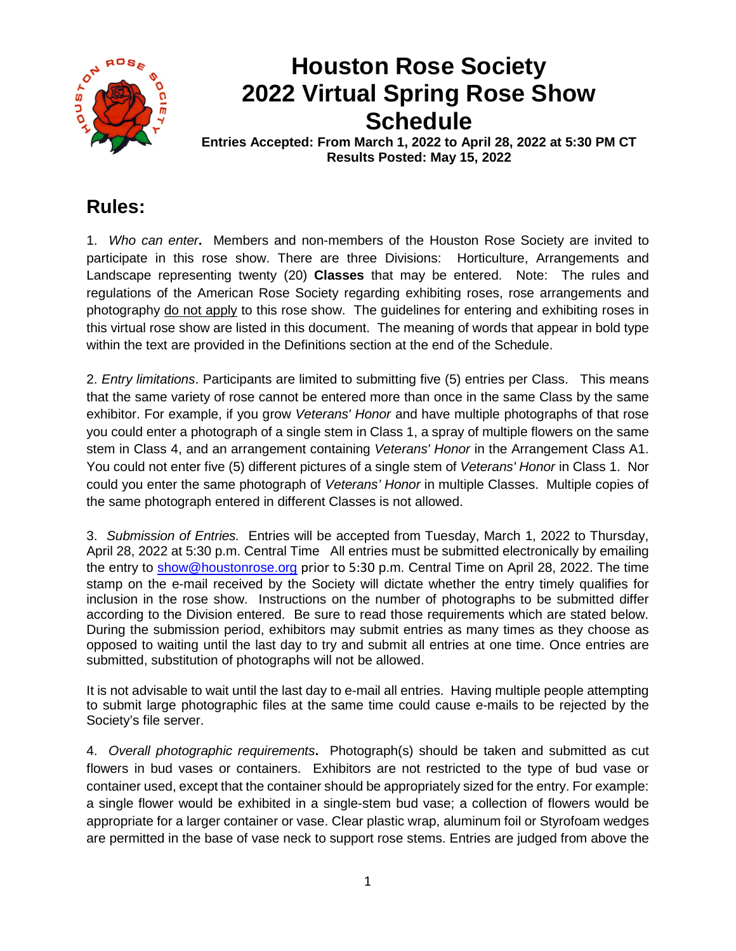

# **Houston Rose Society 2022 Virtual Spring Rose Show Schedule**

**Entries Accepted: From March 1, 2022 to April 28, 2022 at 5:30 PM CT Results Posted: May 15, 2022**

### **Rules:**

1. *Who can enter***.** Members and non-members of the Houston Rose Society are invited to participate in this rose show. There are three Divisions: Horticulture, Arrangements and Landscape representing twenty (20) **Classes** that may be entered. Note: The rules and regulations of the American Rose Society regarding exhibiting roses, rose arrangements and photography do not apply to this rose show. The guidelines for entering and exhibiting roses in this virtual rose show are listed in this document. The meaning of words that appear in bold type within the text are provided in the Definitions section at the end of the Schedule.

2. *Entry limitations*. Participants are limited to submitting five (5) entries per Class. This means that the same variety of rose cannot be entered more than once in the same Class by the same exhibitor. For example, if you grow *Veterans' Honor* and have multiple photographs of that rose you could enter a photograph of a single stem in Class 1, a spray of multiple flowers on the same stem in Class 4, and an arrangement containing *Veterans' Honor* in the Arrangement Class A1. You could not enter five (5) different pictures of a single stem of *Veterans' Honor* in Class 1. Nor could you enter the same photograph of *Veterans' Honor* in multiple Classes. Multiple copies of the same photograph entered in different Classes is not allowed.

3. *Submission of Entries.* Entries will be accepted from Tuesday, March 1, 2022 to Thursday, April 28, 2022 at 5:30 p.m. Central Time All entries must be submitted electronically by emailing the entry to [show@houstonrose.org](mailto:show@houstonrose.org) prior to 5:30 p.m. Central Time on April 28, 2022. The time stamp on the e-mail received by the Society will dictate whether the entry timely qualifies for inclusion in the rose show. Instructions on the number of photographs to be submitted differ according to the Division entered. Be sure to read those requirements which are stated below. During the submission period, exhibitors may submit entries as many times as they choose as opposed to waiting until the last day to try and submit all entries at one time. Once entries are submitted, substitution of photographs will not be allowed.

It is not advisable to wait until the last day to e-mail all entries. Having multiple people attempting to submit large photographic files at the same time could cause e-mails to be rejected by the Society's file server.

4. *Overall photographic requirements***.** Photograph(s) should be taken and submitted as cut flowers in bud vases or containers. Exhibitors are not restricted to the type of bud vase or container used, except that the container should be appropriately sized for the entry. For example: a single flower would be exhibited in a single-stem bud vase; a collection of flowers would be appropriate for a larger container or vase. Clear plastic wrap, aluminum foil or Styrofoam wedges are permitted in the base of vase neck to support rose stems. Entries are judged from above the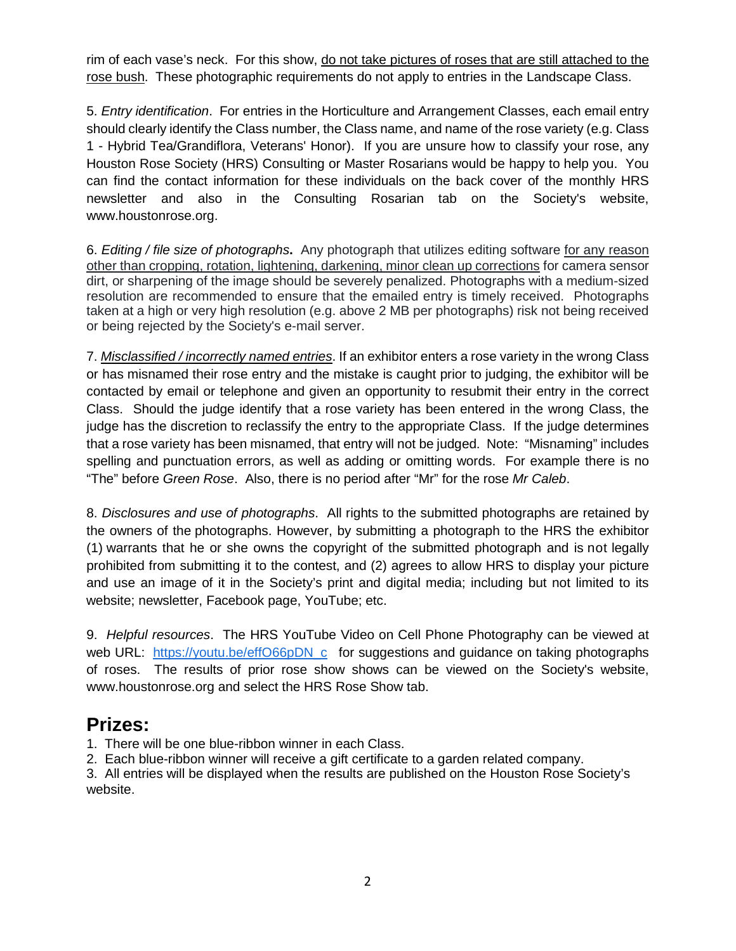rim of each vase's neck. For this show, do not take pictures of roses that are still attached to the rose bush. These photographic requirements do not apply to entries in the Landscape Class.

5. *Entry identification*. For entries in the Horticulture and Arrangement Classes, each email entry should clearly identify the Class number, the Class name, and name of the rose variety (e.g. Class 1 - Hybrid Tea/Grandiflora, Veterans' Honor). If you are unsure how to classify your rose, any Houston Rose Society (HRS) Consulting or Master Rosarians would be happy to help you. You can find the contact information for these individuals on the back cover of the monthly HRS newsletter and also in the Consulting Rosarian tab on the Society's website, www.houstonrose.org.

6. *Editing / file size of photographs***.** Any photograph that utilizes editing software for any reason other than cropping, rotation, lightening, darkening, minor clean up corrections for camera sensor dirt, or sharpening of the image should be severely penalized. Photographs with a medium-sized resolution are recommended to ensure that the emailed entry is timely received. Photographs taken at a high or very high resolution (e.g. above 2 MB per photographs) risk not being received or being rejected by the Society's e-mail server.

7. *Misclassified / incorrectly named entries*. If an exhibitor enters a rose variety in the wrong Class or has misnamed their rose entry and the mistake is caught prior to judging, the exhibitor will be contacted by email or telephone and given an opportunity to resubmit their entry in the correct Class. Should the judge identify that a rose variety has been entered in the wrong Class, the judge has the discretion to reclassify the entry to the appropriate Class. If the judge determines that a rose variety has been misnamed, that entry will not be judged. Note: "Misnaming" includes spelling and punctuation errors, as well as adding or omitting words. For example there is no "The" before *Green Rose*. Also, there is no period after "Mr" for the rose *Mr Caleb*.

8. *Disclosures and use of photographs*. All rights to the submitted photographs are retained by the owners of the photographs. However, by submitting a photograph to the HRS the exhibitor (1) warrants that he or she owns the copyright of the submitted photograph and is not legally prohibited from submitting it to the contest, and (2) agrees to allow HRS to display your picture and use an image of it in the Society's print and digital media; including but not limited to its website; newsletter, Facebook page, YouTube; etc.

9. *Helpful resources*. The HRS YouTube Video on Cell Phone Photography can be viewed at web URL: [https://youtu.be/effO66pDN\\_c](https://youtu.be/effO66pDN_c) for suggestions and guidance on taking photographs of roses. The results of prior rose show shows can be viewed on the Society's website, www.houstonrose.org and select the HRS Rose Show tab.

### **Prizes:**

1. There will be one blue-ribbon winner in each Class.

2. Each blue-ribbon winner will receive a gift certificate to a garden related company.

3. All entries will be displayed when the results are published on the Houston Rose Society's website.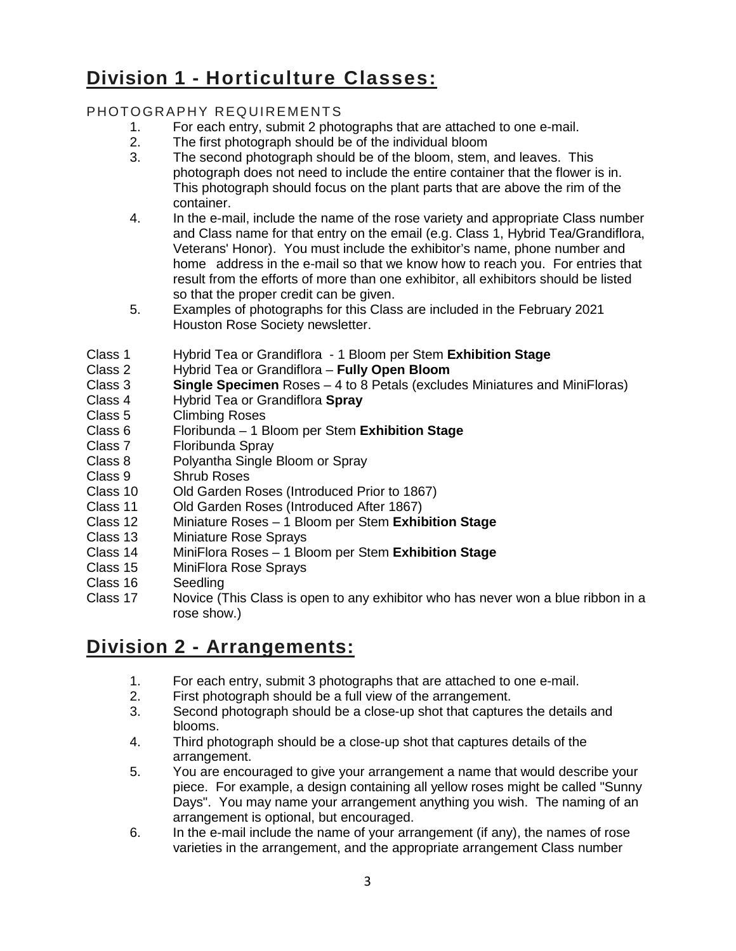## **Division 1 - Horticulture Classes:**

#### PHOTOGRAPHY REQUIREMENTS

- 1. For each entry, submit 2 photographs that are attached to one e-mail.<br>2. The first photograph should be of the individual bloom
- The first photograph should be of the individual bloom
- 3. The second photograph should be of the bloom, stem, and leaves. This photograph does not need to include the entire container that the flower is in. This photograph should focus on the plant parts that are above the rim of the container.
- 4. In the e-mail, include the name of the rose variety and appropriate Class number and Class name for that entry on the email (e.g. Class 1, Hybrid Tea/Grandiflora, Veterans' Honor). You must include the exhibitor's name, phone number and home address in the e-mail so that we know how to reach you. For entries that result from the efforts of more than one exhibitor, all exhibitors should be listed so that the proper credit can be given.
- 5. Examples of photographs for this Class are included in the February 2021 Houston Rose Society newsletter.
- Class 1 Hybrid Tea or Grandiflora 1 Bloom per Stem **Exhibition Stage**
- Hybrid Tea or Grandiflora **Fully Open Bloom**
- Class 3 **Single Specimen** Roses 4 to 8 Petals (excludes Miniatures and MiniFloras)
- Class 4 Hybrid Tea or Grandiflora **Spray**
- Class 5 Climbing Roses<br>Class 6 Floribunda 1 B
- Class 6 Floribunda 1 Bloom per Stem **Exhibition Stage**
- Class 7 Floribunda Spray<br>Class 8 Polvantha Single
- Class 8 Polyantha Single Bloom or Spray<br>Class 9 Shrub Roses
- Class 9 Shrub Roses<br>Class 10 Old Garden R
- Class 10 Old Garden Roses (Introduced Prior to 1867)<br>Class 11 Old Garden Roses (Introduced After 1867)
- Class 11 Old Garden Roses (Introduced After 1867)<br>Class 12 Miniature Roses 1 Bloom per Stem Exhil
- Class 12 Miniature Roses 1 Bloom per Stem **Exhibition Stage**
- Class 13 Miniature Rose Sprays<br>Class 14 MiniFlora Roses 1 Blo
- Class 14 MiniFlora Roses 1 Bloom per Stem **Exhibition Stage**
- MiniFlora Rose Sprays
- Class 16 Seedling
- Class 17 Novice (This Class is open to any exhibitor who has never won a blue ribbon in a rose show.)

### **Division 2 - Arrangements:**

- 1. For each entry, submit 3 photographs that are attached to one e-mail.
- 2. First photograph should be a full view of the arrangement.
- 3. Second photograph should be a close-up shot that captures the details and blooms.
- 4. Third photograph should be a close-up shot that captures details of the arrangement.
- 5. You are encouraged to give your arrangement a name that would describe your piece. For example, a design containing all yellow roses might be called "Sunny Days". You may name your arrangement anything you wish. The naming of an arrangement is optional, but encouraged.
- 6. In the e-mail include the name of your arrangement (if any), the names of rose varieties in the arrangement, and the appropriate arrangement Class number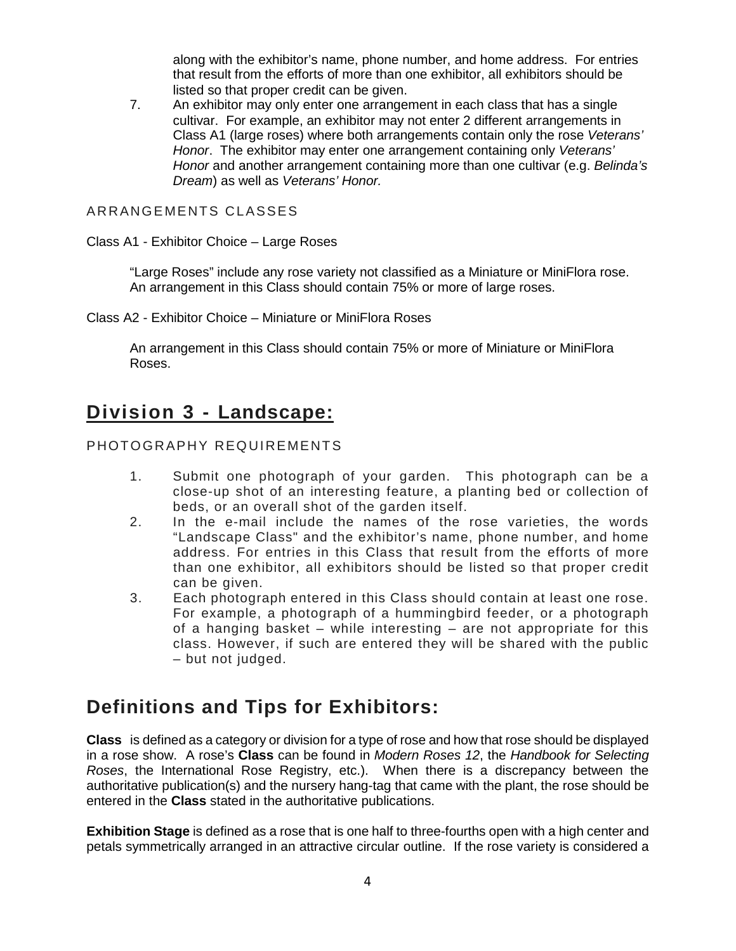along with the exhibitor's name, phone number, and home address. For entries that result from the efforts of more than one exhibitor, all exhibitors should be listed so that proper credit can be given.

7. An exhibitor may only enter one arrangement in each class that has a single cultivar. For example, an exhibitor may not enter 2 different arrangements in Class A1 (large roses) where both arrangements contain only the rose *Veterans' Honor*. The exhibitor may enter one arrangement containing only *Veterans' Honor* and another arrangement containing more than one cultivar (e.g. *Belinda's Dream*) as well as *Veterans' Honor.*

ARRANGEMENTS CLASSES

Class A1 - Exhibitor Choice – Large Roses

"Large Roses" include any rose variety not classified as a Miniature or MiniFlora rose. An arrangement in this Class should contain 75% or more of large roses.

Class A2 - Exhibitor Choice – Miniature or MiniFlora Roses

An arrangement in this Class should contain 75% or more of Miniature or MiniFlora Roses.

### **Division 3 - Landscape:**

#### PHOTOGRAPHY REQUIREMENTS

- 1. Submit one photograph of your garden. This photograph can be a close-up shot of an interesting feature, a planting bed or collection of beds, or an overall shot of the garden itself.
- 2. In the e-mail include the names of the rose varieties, the words "Landscape Class" and the exhibitor's name, phone number, and home address. For entries in this Class that result from the efforts of more than one exhibitor, all exhibitors should be listed so that proper credit can be given.
- 3. Each photograph entered in this Class should contain at least one rose. For example, a photograph of a hummingbird feeder, or a photograph of a hanging basket – while interesting – are not appropriate for this class. However, if such are entered they will be shared with the public – but not judged.

### **Definitions and Tips for Exhibitors:**

**Class** is defined as a category or division for a type of rose and how that rose should be displayed in a rose show. A rose's **Class** can be found in *Modern Roses 12*, the *Handbook for Selecting Roses*, the International Rose Registry, etc.). When there is a discrepancy between the authoritative publication(s) and the nursery hang-tag that came with the plant, the rose should be entered in the **Class** stated in the authoritative publications.

**Exhibition Stage** is defined as a rose that is one half to three-fourths open with a high center and petals symmetrically arranged in an attractive circular outline. If the rose variety is considered a